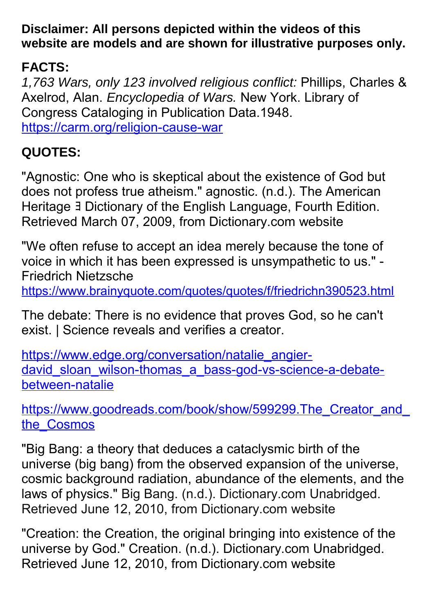**Disclaimer: All persons depicted within the videos of this website are models and are shown for illustrative purposes only.**

## **FACTS:**

*1,763 Wars, only 123 involved religious conflict:* Phillips, Charles & Axelrod, Alan. *Encyclopedia of Wars.* New York. Library of Congress Cataloging in Publication Data.1948. <https://carm.org/religion-cause-war>

## **QUOTES:**

"Agnostic: One who is skeptical about the existence of God but does not profess true atheism." agnostic. (n.d.). The American Heritage ∃ Dictionary of the English Language, Fourth Edition. Retrieved March 07, 2009, from Dictionary.com website

"We often refuse to accept an idea merely because the tone of voice in which it has been expressed is unsympathetic to us." - Friedrich Nietzsche

<https://www.brainyquote.com/quotes/quotes/f/friedrichn390523.html>

The debate: There is no evidence that proves God, so he can't exist. | Science reveals and verifies a creator.

[https://www.edge.org/conversation/natalie\\_angier](https://www.edge.org/conversation/natalie_angier-david_sloan_wilson-thomas_a_bass-god-vs-science-a-debate-between-natalie)david sloan wilson-thomas a bass-god-vs-science-a-debate[between-natalie](https://www.edge.org/conversation/natalie_angier-david_sloan_wilson-thomas_a_bass-god-vs-science-a-debate-between-natalie)

https://www.goodreads.com/book/show/599299.The Creator and [the\\_Cosmos](https://www.goodreads.com/book/show/599299.The_Creator_and_the_Cosmos)

"Big Bang: a theory that deduces a cataclysmic birth of the universe (big bang) from the observed expansion of the universe, cosmic background radiation, abundance of the elements, and the laws of physics." [Big Bang. \(n.d.\). Dictionary.com Unabridged.](file:///C:/Users/PATRICIA/Desktop/MEDIA%20OUTREACH%20CREDITS/Big%20Bang.%20(n.d.).%20Dictionary.com%20Unabridged.%20Retrieved%20June%2012,%202010,%20from%20Dictionary.com%20website)  [Retrieved June 12, 2010, from Dictionary.com website](file:///C:/Users/PATRICIA/Desktop/MEDIA%20OUTREACH%20CREDITS/Big%20Bang.%20(n.d.).%20Dictionary.com%20Unabridged.%20Retrieved%20June%2012,%202010,%20from%20Dictionary.com%20website)

"Creation: the Creation, the original bringing into existence of the universe by God." Creation. (n.d.). Dictionary.com Unabridged. Retrieved June 12, 2010, from Dictionary.com website